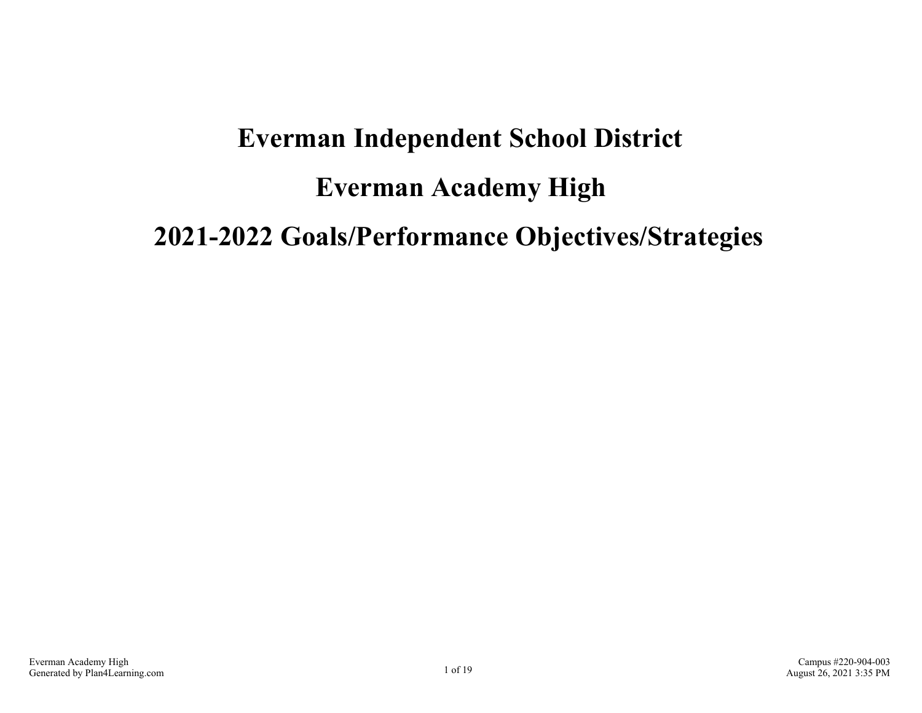# **Everman Independent School District Everman Academy High 2021-2022 Goals/Performance Objectives/Strategies**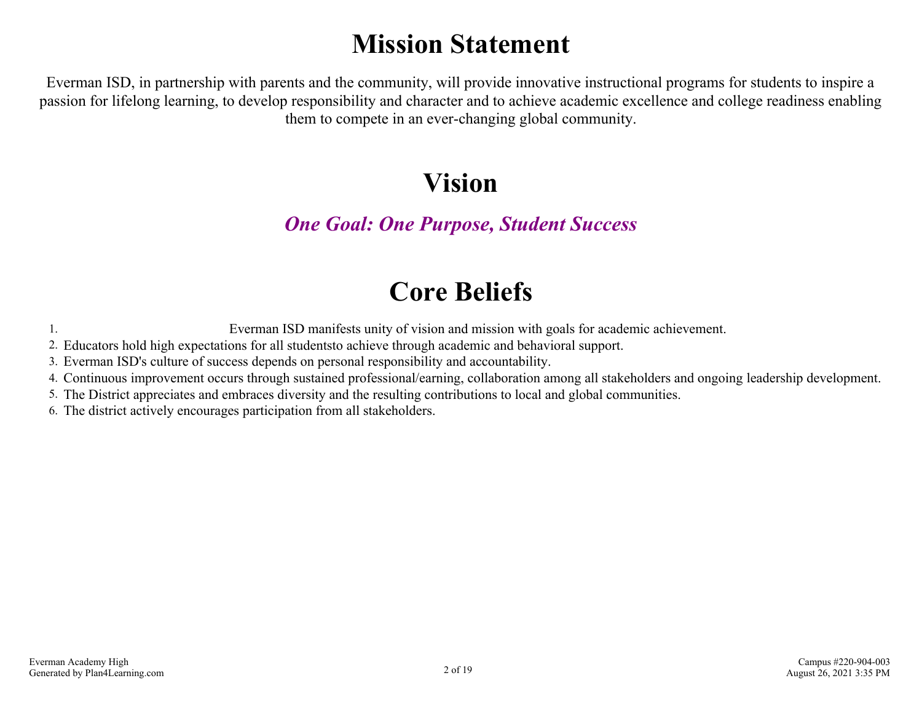# **Mission Statement**

Everman ISD, in partnership with parents and the community, will provide innovative instructional programs for students to inspire a passion for lifelong learning, to develop responsibility and character and to achieve academic excellence and college readiness enabling them to compete in an ever-changing global community.

### **Vision**

#### *One Goal: One Purpose, Student Success*

## **Core Beliefs**

1. Everman ISD manifests unity of vision and mission with goals for academic achievement.

2. Educators hold high expectations for all studentsto achieve through academic and behavioral support.

3. Everman ISD's culture of success depends on personal responsibility and accountability.

4. Continuous improvement occurs through sustained professional/earning, collaboration among all stakeholders and ongoing leadership development.

5. The District appreciates and embraces diversity and the resulting contributions to local and global communities.

6. The district actively encourages participation from all stakeholders.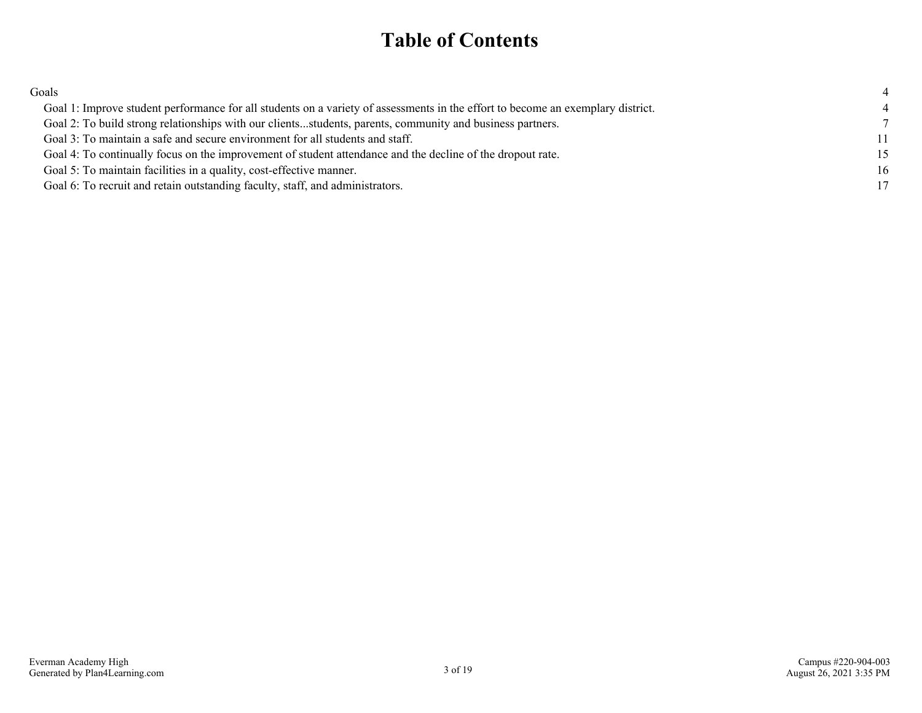#### **Table of Contents**

| Goals                                                                                                                           |    |
|---------------------------------------------------------------------------------------------------------------------------------|----|
| Goal 1: Improve student performance for all students on a variety of assessments in the effort to become an exemplary district. |    |
| Goal 2: To build strong relationships with our clientsstudents, parents, community and business partners.                       |    |
| Goal 3: To maintain a safe and secure environment for all students and staff.                                                   | 11 |
| Goal 4: To continually focus on the improvement of student attendance and the decline of the dropout rate.                      | 15 |
| Goal 5: To maintain facilities in a quality, cost-effective manner.                                                             | 16 |
| Goal 6: To recruit and retain outstanding faculty, staff, and administrators.                                                   | 17 |
|                                                                                                                                 |    |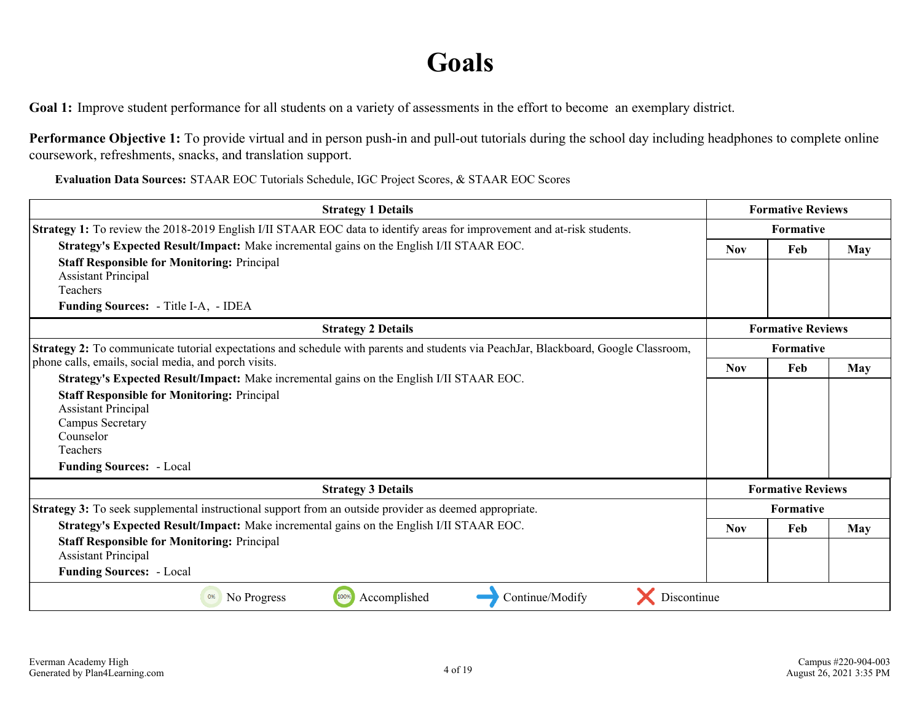#### **Goals**

<span id="page-3-0"></span>**Goal 1:** Improve student performance for all students on a variety of assessments in the effort to become an exemplary district.

**Performance Objective 1:** To provide virtual and in person push-in and pull-out tutorials during the school day including headphones to complete online coursework, refreshments, snacks, and translation support.

| <b>Strategy 1 Details</b>                                                                                                           | <b>Formative Reviews</b> |                          |     |  |
|-------------------------------------------------------------------------------------------------------------------------------------|--------------------------|--------------------------|-----|--|
| <b>Strategy 1:</b> To review the 2018-2019 English I/II STAAR EOC data to identify areas for improvement and at-risk students.      | Formative                |                          |     |  |
| Strategy's Expected Result/Impact: Make incremental gains on the English I/II STAAR EOC.                                            | <b>Nov</b>               | May                      |     |  |
| <b>Staff Responsible for Monitoring: Principal</b>                                                                                  |                          |                          |     |  |
| <b>Assistant Principal</b>                                                                                                          |                          |                          |     |  |
| Teachers                                                                                                                            |                          |                          |     |  |
| <b>Funding Sources:</b> - Title I-A, - IDEA                                                                                         |                          |                          |     |  |
| <b>Strategy 2 Details</b>                                                                                                           |                          | <b>Formative Reviews</b> |     |  |
| Strategy 2: To communicate tutorial expectations and schedule with parents and students via PeachJar, Blackboard, Google Classroom, | Formative                |                          |     |  |
| phone calls, emails, social media, and porch visits.                                                                                | <b>Nov</b>               | Feb                      | May |  |
| Strategy's Expected Result/Impact: Make incremental gains on the English I/II STAAR EOC.                                            |                          |                          |     |  |
| <b>Staff Responsible for Monitoring: Principal</b>                                                                                  |                          |                          |     |  |
| <b>Assistant Principal</b>                                                                                                          |                          |                          |     |  |
| Campus Secretary                                                                                                                    |                          |                          |     |  |
| Counselor<br>Teachers                                                                                                               |                          |                          |     |  |
| <b>Funding Sources: - Local</b>                                                                                                     |                          |                          |     |  |
|                                                                                                                                     |                          |                          |     |  |
| <b>Strategy 3 Details</b>                                                                                                           |                          | <b>Formative Reviews</b> |     |  |
| Strategy 3: To seek supplemental instructional support from an outside provider as deemed appropriate.                              |                          | <b>Formative</b>         |     |  |
| Strategy's Expected Result/Impact: Make incremental gains on the English I/II STAAR EOC.                                            | <b>Nov</b>               | Feb                      | May |  |
| <b>Staff Responsible for Monitoring: Principal</b><br><b>Assistant Principal</b>                                                    |                          |                          |     |  |
| <b>Funding Sources: - Local</b>                                                                                                     |                          |                          |     |  |
| Discontinue<br>Continue/Modify<br>No Progress<br>100%<br>Accomplished<br>0%                                                         |                          |                          |     |  |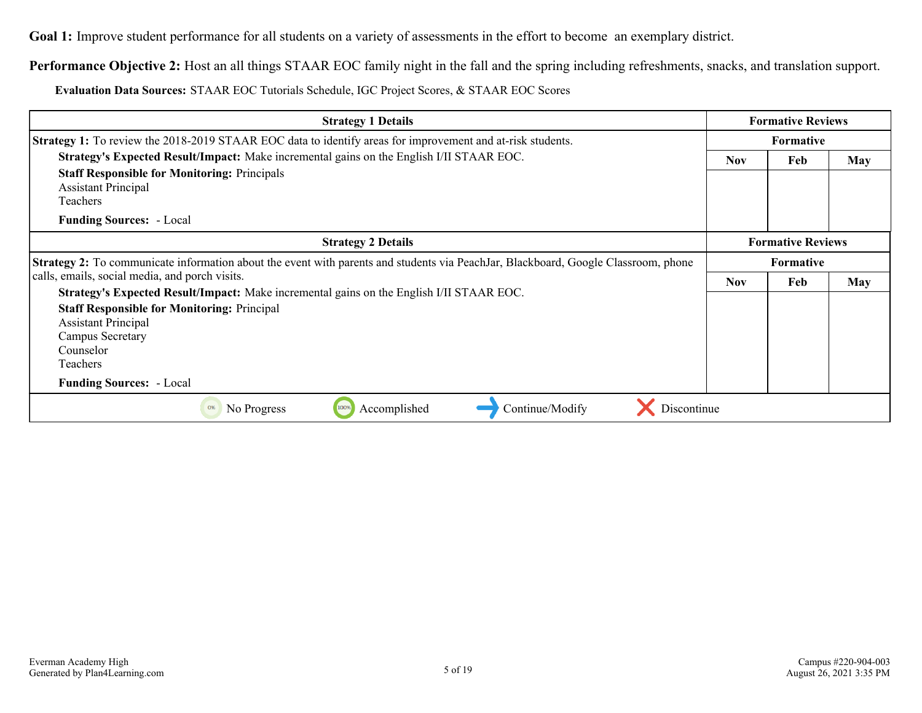**Goal 1:** Improve student performance for all students on a variety of assessments in the effort to become an exemplary district.

**Performance Objective 2:** Host an all things STAAR EOC family night in the fall and the spring including refreshments, snacks, and translation support.

| <b>Strategy 1 Details</b>                                                                                                          |            | <b>Formative Reviews</b> |            |
|------------------------------------------------------------------------------------------------------------------------------------|------------|--------------------------|------------|
| <b>Strategy 1:</b> To review the 2018-2019 STAAR EOC data to identify areas for improvement and at-risk students.                  |            | <b>Formative</b>         |            |
| Strategy's Expected Result/Impact: Make incremental gains on the English I/II STAAR EOC.                                           | <b>Nov</b> | Feb                      | <b>May</b> |
| <b>Staff Responsible for Monitoring: Principals</b>                                                                                |            |                          |            |
| <b>Assistant Principal</b>                                                                                                         |            |                          |            |
| Teachers                                                                                                                           |            |                          |            |
| <b>Funding Sources: - Local</b>                                                                                                    |            |                          |            |
| <b>Strategy 2 Details</b>                                                                                                          |            | <b>Formative Reviews</b> |            |
| Strategy 2: To communicate information about the event with parents and students via PeachJar, Blackboard, Google Classroom, phone |            | <b>Formative</b>         |            |
| calls, emails, social media, and porch visits.                                                                                     | <b>Nov</b> | Feb                      | <b>May</b> |
| Strategy's Expected Result/Impact: Make incremental gains on the English I/II STAAR EOC.                                           |            |                          |            |
| <b>Staff Responsible for Monitoring: Principal</b>                                                                                 |            |                          |            |
| <b>Assistant Principal</b>                                                                                                         |            |                          |            |
| Campus Secretary                                                                                                                   |            |                          |            |
| Counselor                                                                                                                          |            |                          |            |
| Teachers                                                                                                                           |            |                          |            |
| <b>Funding Sources: - Local</b>                                                                                                    |            |                          |            |
| Accomplished<br>Continue/Modify<br>Discontinue<br>100%<br>0%<br>No Progress                                                        |            |                          |            |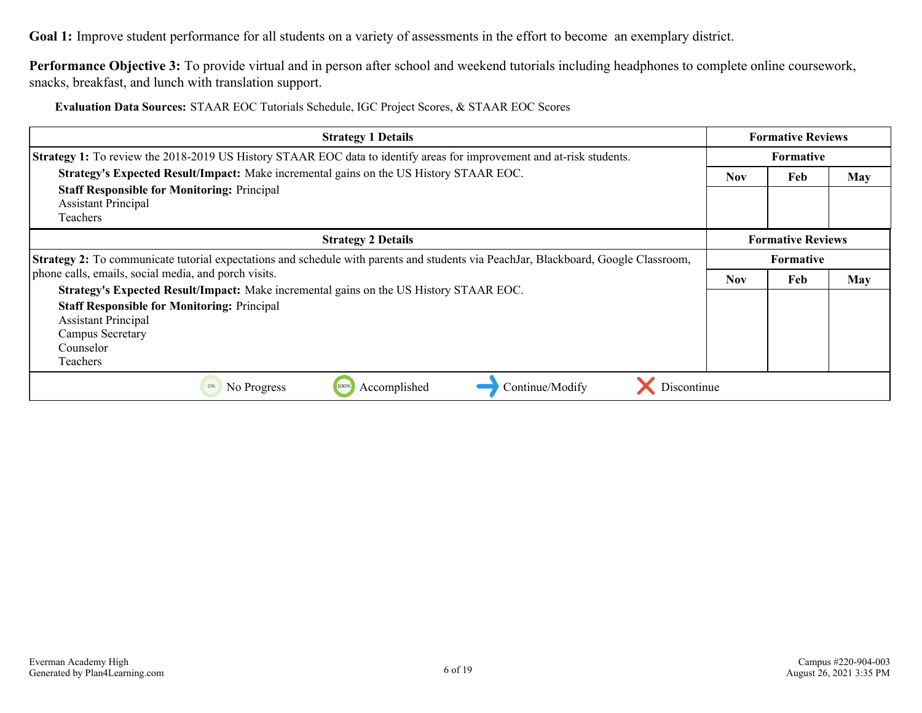**Goal 1:** Improve student performance for all students on a variety of assessments in the effort to become an exemplary district.

**Performance Objective 3:** To provide virtual and in person after school and weekend tutorials including headphones to complete online coursework, snacks, breakfast, and lunch with translation support.

| <b>Strategy 1 Details</b>                                                                                                           |                  | <b>Formative Reviews</b> |     |
|-------------------------------------------------------------------------------------------------------------------------------------|------------------|--------------------------|-----|
| <b>Strategy 1:</b> To review the 2018-2019 US History STAAR EOC data to identify areas for improvement and at-risk students.        | <b>Formative</b> |                          |     |
| Strategy's Expected Result/Impact: Make incremental gains on the US History STAAR EOC.                                              | <b>Nov</b>       | Feb                      | May |
| <b>Staff Responsible for Monitoring: Principal</b>                                                                                  |                  |                          |     |
| <b>Assistant Principal</b>                                                                                                          |                  |                          |     |
| Teachers                                                                                                                            |                  |                          |     |
| <b>Strategy 2 Details</b>                                                                                                           |                  | <b>Formative Reviews</b> |     |
| Strategy 2: To communicate tutorial expectations and schedule with parents and students via PeachJar, Blackboard, Google Classroom, |                  | <b>Formative</b>         |     |
| phone calls, emails, social media, and porch visits.                                                                                | <b>Nov</b>       | Feb                      | May |
| Strategy's Expected Result/Impact: Make incremental gains on the US History STAAR EOC.                                              |                  |                          |     |
| <b>Staff Responsible for Monitoring: Principal</b>                                                                                  |                  |                          |     |
| <b>Assistant Principal</b>                                                                                                          |                  |                          |     |
| Campus Secretary                                                                                                                    |                  |                          |     |
| Counselor                                                                                                                           |                  |                          |     |
| <b>Teachers</b>                                                                                                                     |                  |                          |     |
| Continue/Modify<br>Accomplished<br>0%<br>No Progress<br>Discontinue                                                                 |                  |                          |     |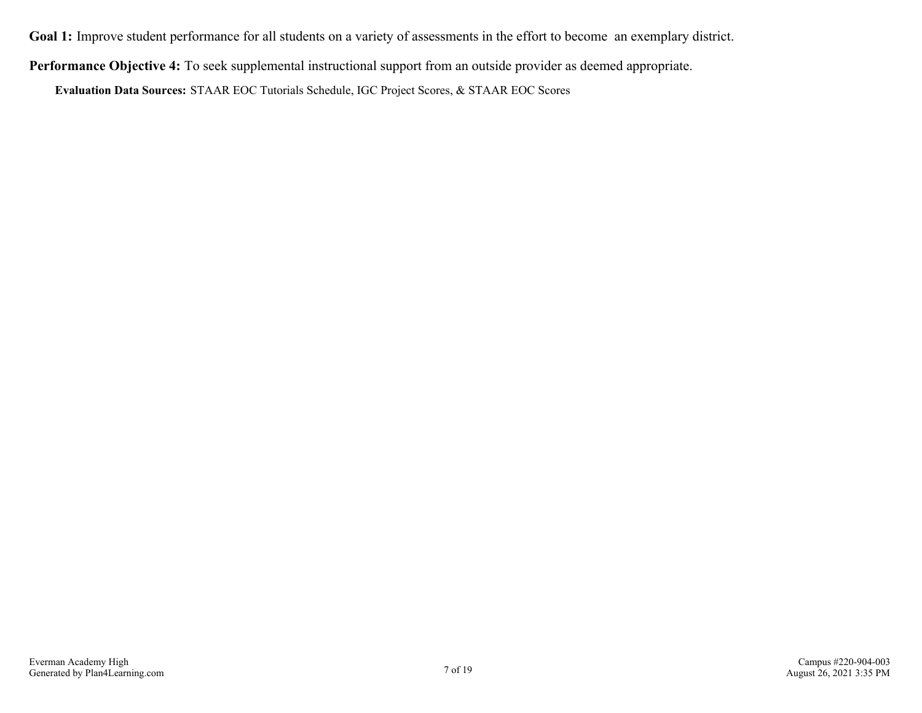**Goal 1:** Improve student performance for all students on a variety of assessments in the effort to become an exemplary district.

**Performance Objective 4:** To seek supplemental instructional support from an outside provider as deemed appropriate.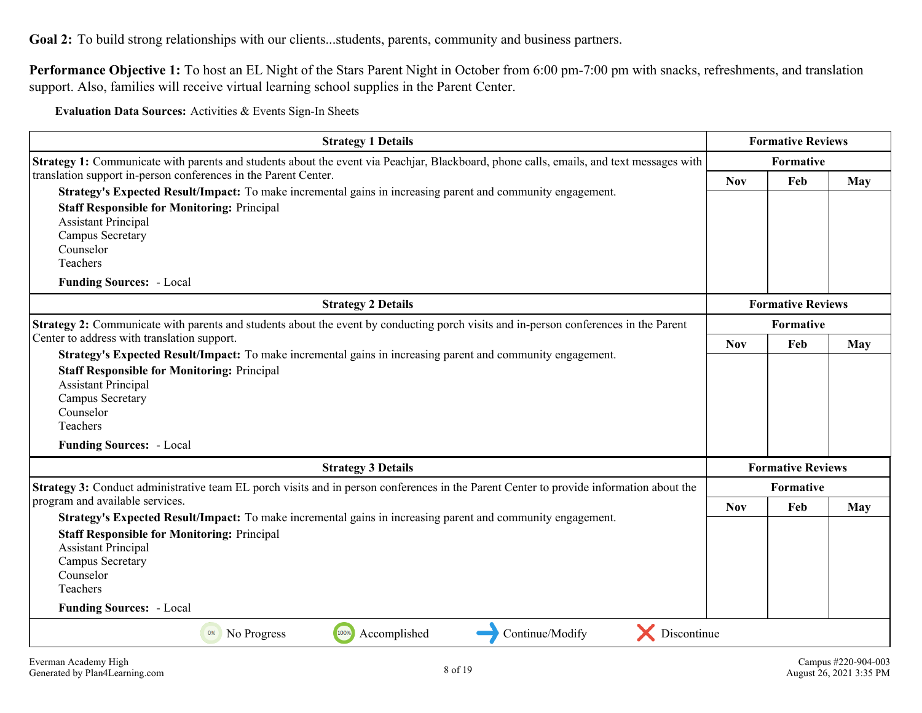<span id="page-7-0"></span>**Performance Objective 1:** To host an EL Night of the Stars Parent Night in October from 6:00 pm-7:00 pm with snacks, refreshments, and translation support. Also, families will receive virtual learning school supplies in the Parent Center.

| <b>Strategy 1 Details</b>                                                                                                                                                                                                                                                                                                                          |            | <b>Formative Reviews</b> |            |  |
|----------------------------------------------------------------------------------------------------------------------------------------------------------------------------------------------------------------------------------------------------------------------------------------------------------------------------------------------------|------------|--------------------------|------------|--|
| Strategy 1: Communicate with parents and students about the event via Peachjar, Blackboard, phone calls, emails, and text messages with                                                                                                                                                                                                            |            | Formative                |            |  |
| translation support in-person conferences in the Parent Center.<br>Strategy's Expected Result/Impact: To make incremental gains in increasing parent and community engagement.<br><b>Staff Responsible for Monitoring: Principal</b><br><b>Assistant Principal</b><br>Campus Secretary<br>Counselor<br>Teachers<br><b>Funding Sources: - Local</b> | <b>Nov</b> | Feb                      | May        |  |
| <b>Strategy 2 Details</b>                                                                                                                                                                                                                                                                                                                          |            | <b>Formative Reviews</b> |            |  |
| Strategy 2: Communicate with parents and students about the event by conducting porch visits and in-person conferences in the Parent<br>Center to address with translation support.                                                                                                                                                                | Formative  |                          |            |  |
| Strategy's Expected Result/Impact: To make incremental gains in increasing parent and community engagement.<br><b>Staff Responsible for Monitoring: Principal</b><br><b>Assistant Principal</b><br>Campus Secretary<br>Counselor<br>Teachers<br><b>Funding Sources: - Local</b>                                                                    | <b>Nov</b> | Feb                      | May        |  |
| <b>Strategy 3 Details</b>                                                                                                                                                                                                                                                                                                                          |            | <b>Formative Reviews</b> |            |  |
| Strategy 3: Conduct administrative team EL porch visits and in person conferences in the Parent Center to provide information about the                                                                                                                                                                                                            |            | <b>Formative</b>         |            |  |
| program and available services.<br>Strategy's Expected Result/Impact: To make incremental gains in increasing parent and community engagement.<br><b>Staff Responsible for Monitoring: Principal</b><br><b>Assistant Principal</b><br>Campus Secretary<br>Counselor<br>Teachers<br><b>Funding Sources: - Local</b>                                 | <b>Nov</b> | Feb                      | <b>May</b> |  |
| Discontinue<br>100%<br>Accomplished<br>Continue/Modify<br>No Progress<br>0%                                                                                                                                                                                                                                                                        |            |                          |            |  |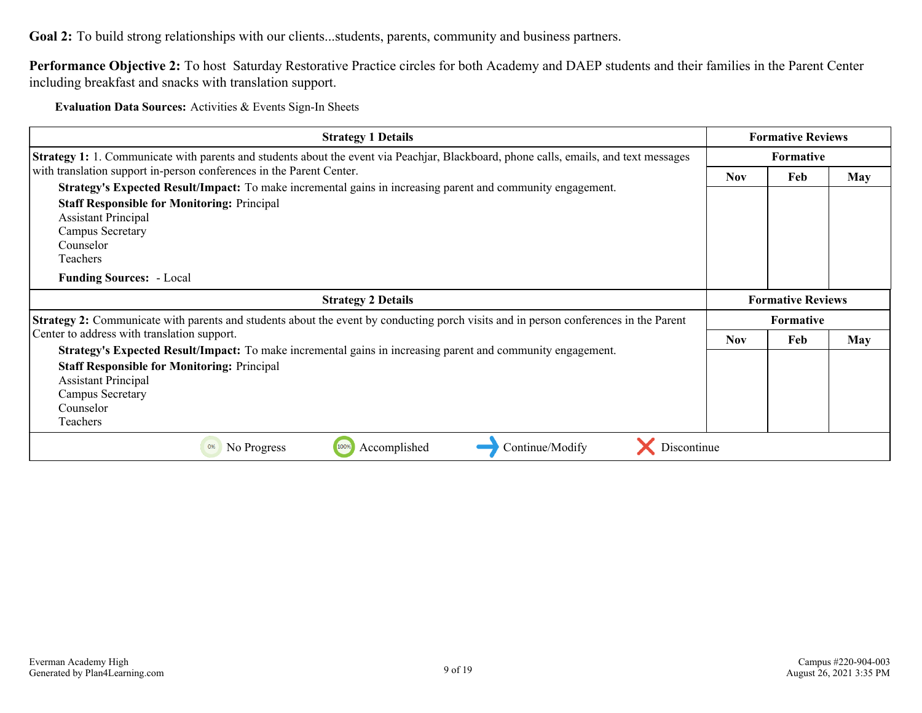**Performance Objective 2:** To host Saturday Restorative Practice circles for both Academy and DAEP students and their families in the Parent Center including breakfast and snacks with translation support.

| <b>Strategy 1 Details</b>                                                                                                                                                                                                                                                                                                                                      | <b>Formative Reviews</b> |                  |            |
|----------------------------------------------------------------------------------------------------------------------------------------------------------------------------------------------------------------------------------------------------------------------------------------------------------------------------------------------------------------|--------------------------|------------------|------------|
| <b>Strategy 1:</b> 1. Communicate with parents and students about the event via Peachjar, Blackboard, phone calls, emails, and text messages                                                                                                                                                                                                                   | Formative                |                  |            |
| with translation support in-person conferences in the Parent Center.<br>Strategy's Expected Result/Impact: To make incremental gains in increasing parent and community engagement.<br><b>Staff Responsible for Monitoring: Principal</b><br><b>Assistant Principal</b><br><b>Campus Secretary</b><br>Counselor<br>Teachers<br><b>Funding Sources:</b> - Local | <b>Nov</b>               | Feb              | <b>May</b> |
|                                                                                                                                                                                                                                                                                                                                                                |                          |                  |            |
| <b>Strategy 2 Details</b>                                                                                                                                                                                                                                                                                                                                      | <b>Formative Reviews</b> |                  |            |
| <b>Strategy 2:</b> Communicate with parents and students about the event by conducting porch visits and in person conferences in the Parent                                                                                                                                                                                                                    |                          | <b>Formative</b> |            |
| Center to address with translation support.<br>Strategy's Expected Result/Impact: To make incremental gains in increasing parent and community engagement.                                                                                                                                                                                                     | <b>Nov</b>               | Feb              | <b>May</b> |
| <b>Staff Responsible for Monitoring: Principal</b><br><b>Assistant Principal</b><br>Campus Secretary<br>Counselor<br>Teachers                                                                                                                                                                                                                                  |                          |                  |            |
|                                                                                                                                                                                                                                                                                                                                                                |                          |                  |            |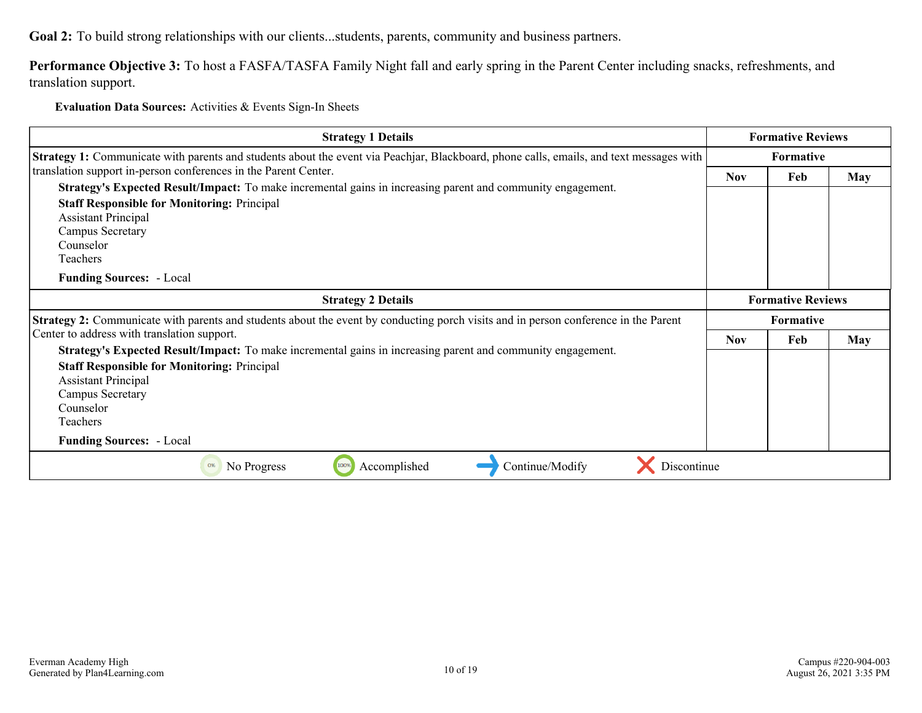**Performance Objective 3:** To host a FASFA/TASFA Family Night fall and early spring in the Parent Center including snacks, refreshments, and translation support.

| <b>Strategy 1 Details</b>                                                                                                                                                                                                                                                                                                                          |                  | <b>Formative Reviews</b> |            |  |
|----------------------------------------------------------------------------------------------------------------------------------------------------------------------------------------------------------------------------------------------------------------------------------------------------------------------------------------------------|------------------|--------------------------|------------|--|
| Strategy 1: Communicate with parents and students about the event via Peachjar, Blackboard, phone calls, emails, and text messages with                                                                                                                                                                                                            |                  | <b>Formative</b>         |            |  |
| translation support in-person conferences in the Parent Center.<br>Strategy's Expected Result/Impact: To make incremental gains in increasing parent and community engagement.<br><b>Staff Responsible for Monitoring: Principal</b><br><b>Assistant Principal</b><br>Campus Secretary<br>Counselor<br>Teachers<br><b>Funding Sources: - Local</b> | <b>Nov</b>       | Feb                      | <b>May</b> |  |
| <b>Strategy 2 Details</b>                                                                                                                                                                                                                                                                                                                          |                  | <b>Formative Reviews</b> |            |  |
| <b>Strategy 2:</b> Communicate with parents and students about the event by conducting porch visits and in person conference in the Parent                                                                                                                                                                                                         | <b>Formative</b> |                          |            |  |
| Center to address with translation support.<br>Strategy's Expected Result/Impact: To make incremental gains in increasing parent and community engagement.                                                                                                                                                                                         | <b>Nov</b>       | Feb                      | <b>May</b> |  |
| <b>Staff Responsible for Monitoring: Principal</b><br><b>Assistant Principal</b><br>Campus Secretary<br>Counselor<br>Teachers                                                                                                                                                                                                                      |                  |                          |            |  |
| <b>Funding Sources: - Local</b>                                                                                                                                                                                                                                                                                                                    |                  |                          |            |  |
| 100%<br>Accomplished<br>Continue/Modify<br>Discontinue<br>No Progress<br>0%                                                                                                                                                                                                                                                                        |                  |                          |            |  |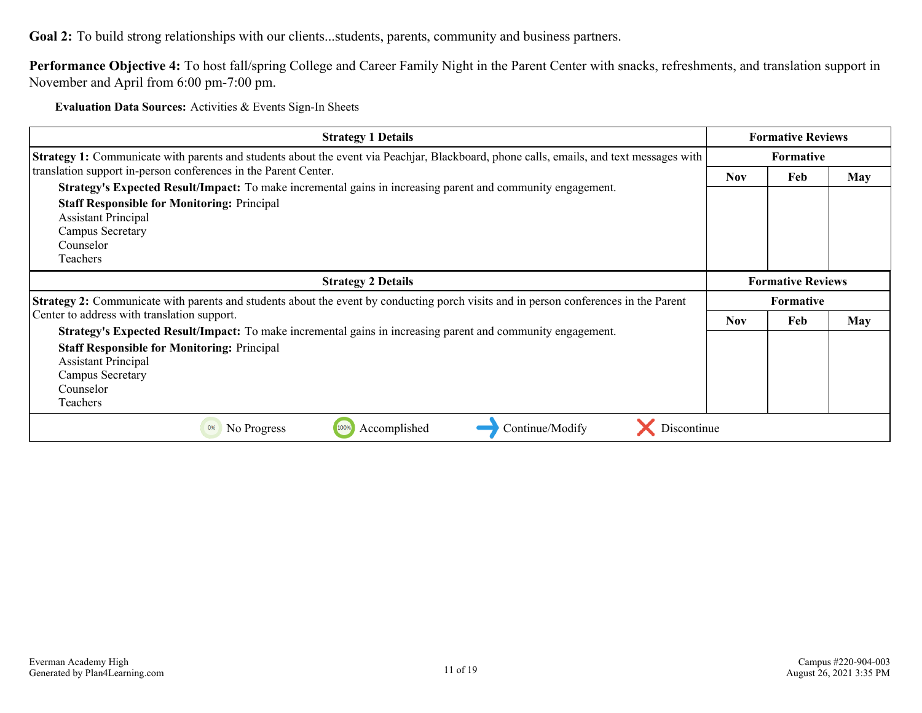**Performance Objective 4:** To host fall/spring College and Career Family Night in the Parent Center with snacks, refreshments, and translation support in November and April from 6:00 pm-7:00 pm.

| <b>Strategy 1 Details</b>                                                                                                                      | <b>Formative Reviews</b> |                          |            |
|------------------------------------------------------------------------------------------------------------------------------------------------|--------------------------|--------------------------|------------|
| <b>Strategy 1:</b> Communicate with parents and students about the event via Peachjar, Blackboard, phone calls, emails, and text messages with | <b>Formative</b>         |                          |            |
| translation support in-person conferences in the Parent Center.                                                                                | <b>Nov</b>               | Feb                      | <b>May</b> |
| Strategy's Expected Result/Impact: To make incremental gains in increasing parent and community engagement.                                    |                          |                          |            |
| <b>Staff Responsible for Monitoring: Principal</b><br><b>Assistant Principal</b>                                                               |                          |                          |            |
| Campus Secretary                                                                                                                               |                          |                          |            |
| Counselor                                                                                                                                      |                          |                          |            |
| <b>Teachers</b>                                                                                                                                |                          |                          |            |
| <b>Strategy 2 Details</b>                                                                                                                      |                          | <b>Formative Reviews</b> |            |
| <b>Strategy 2:</b> Communicate with parents and students about the event by conducting porch visits and in person conferences in the Parent    | <b>Formative</b>         |                          |            |
| Center to address with translation support.                                                                                                    | <b>Nov</b>               | Feb                      | <b>May</b> |
| Strategy's Expected Result/Impact: To make incremental gains in increasing parent and community engagement.                                    |                          |                          |            |
| <b>Staff Responsible for Monitoring: Principal</b>                                                                                             |                          |                          |            |
| <b>Assistant Principal</b>                                                                                                                     |                          |                          |            |
| Campus Secretary<br>Counselor                                                                                                                  |                          |                          |            |
| Teachers                                                                                                                                       |                          |                          |            |
| 100%<br>Discontinue<br>Accomplished<br>Continue/Modify<br>0%<br>No Progress                                                                    |                          |                          |            |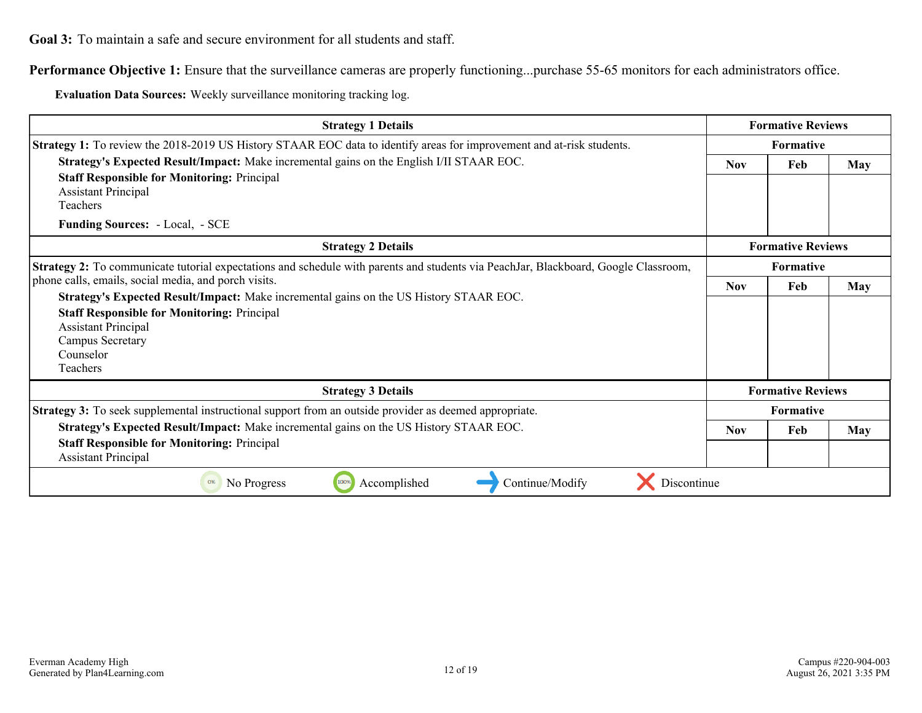<span id="page-11-0"></span>**Performance Objective 1:** Ensure that the surveillance cameras are properly functioning...purchase 55-65 monitors for each administrators office.

**Evaluation Data Sources:** Weekly surveillance monitoring tracking log.

| <b>Strategy 1 Details</b>                                                                                                           | <b>Formative Reviews</b> |                          |            |
|-------------------------------------------------------------------------------------------------------------------------------------|--------------------------|--------------------------|------------|
| <b>Strategy 1:</b> To review the 2018-2019 US History STAAR EOC data to identify areas for improvement and at-risk students.        | <b>Formative</b>         |                          |            |
| Strategy's Expected Result/Impact: Make incremental gains on the English I/II STAAR EOC.                                            | <b>Nov</b>               | <b>May</b>               |            |
| <b>Staff Responsible for Monitoring: Principal</b>                                                                                  |                          |                          |            |
| <b>Assistant Principal</b><br>Teachers                                                                                              |                          |                          |            |
|                                                                                                                                     |                          |                          |            |
| <b>Funding Sources: - Local, - SCE</b>                                                                                              |                          |                          |            |
| <b>Strategy 2 Details</b>                                                                                                           | <b>Formative Reviews</b> |                          |            |
| Strategy 2: To communicate tutorial expectations and schedule with parents and students via PeachJar, Blackboard, Google Classroom, | <b>Formative</b>         |                          |            |
| phone calls, emails, social media, and porch visits.                                                                                | <b>Nov</b>               | Feb                      | <b>May</b> |
| Strategy's Expected Result/Impact: Make incremental gains on the US History STAAR EOC.                                              |                          |                          |            |
| <b>Staff Responsible for Monitoring: Principal</b>                                                                                  |                          |                          |            |
| <b>Assistant Principal</b>                                                                                                          |                          |                          |            |
| Campus Secretary                                                                                                                    |                          |                          |            |
| Counselor                                                                                                                           |                          |                          |            |
| Teachers                                                                                                                            |                          |                          |            |
| <b>Strategy 3 Details</b>                                                                                                           |                          | <b>Formative Reviews</b> |            |
| <b>Strategy 3:</b> To seek supplemental instructional support from an outside provider as deemed appropriate.                       |                          | Formative                |            |
| Strategy's Expected Result/Impact: Make incremental gains on the US History STAAR EOC.                                              | <b>Nov</b>               | Feb                      | May        |
| <b>Staff Responsible for Monitoring: Principal</b><br><b>Assistant Principal</b>                                                    |                          |                          |            |
| 100%<br>Accomplished<br>Continue/Modify<br>Discontinue<br>0%<br>No Progress                                                         |                          |                          |            |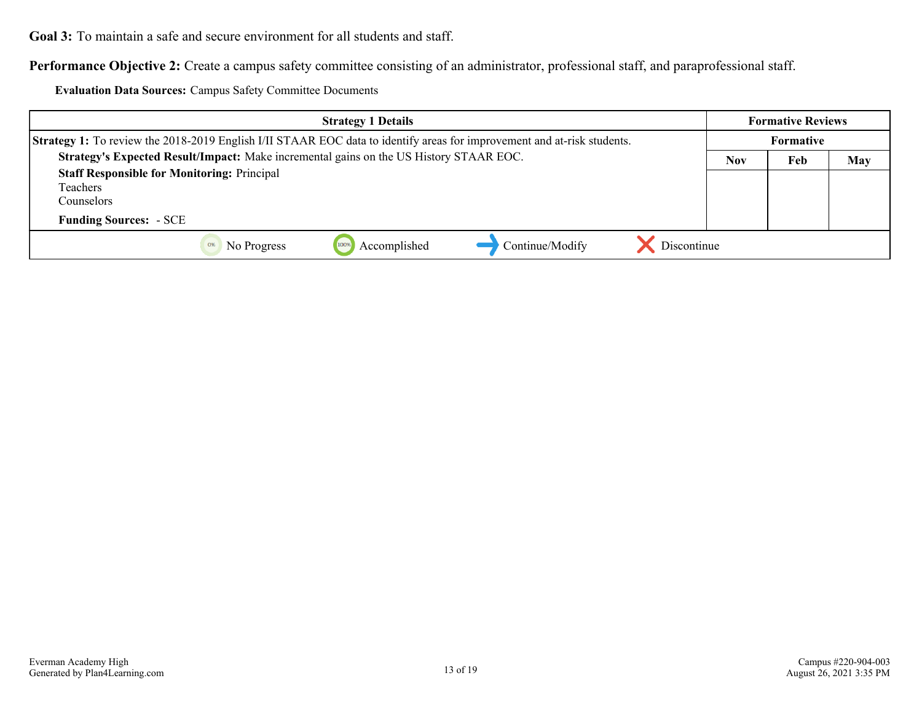**Performance Objective 2:** Create a campus safety committee consisting of an administrator, professional staff, and paraprofessional staff.

**Evaluation Data Sources:** Campus Safety Committee Documents

| <b>Strategy 1 Details</b>                                                                                                      |     | <b>Formative Reviews</b> |     |
|--------------------------------------------------------------------------------------------------------------------------------|-----|--------------------------|-----|
| <b>Strategy 1:</b> To review the 2018-2019 English I/II STAAR EOC data to identify areas for improvement and at-risk students. |     | Formative                |     |
| Strategy's Expected Result/Impact: Make incremental gains on the US History STAAR EOC.                                         | Nov | Feb                      | May |
| <b>Staff Responsible for Monitoring: Principal</b><br>Teachers<br>Counselors :                                                 |     |                          |     |
| <b>Funding Sources: - SCE</b>                                                                                                  |     |                          |     |
| Discontinue<br>Continue/Modify<br>Accomplished<br>No Progress<br>100%<br>0%                                                    |     |                          |     |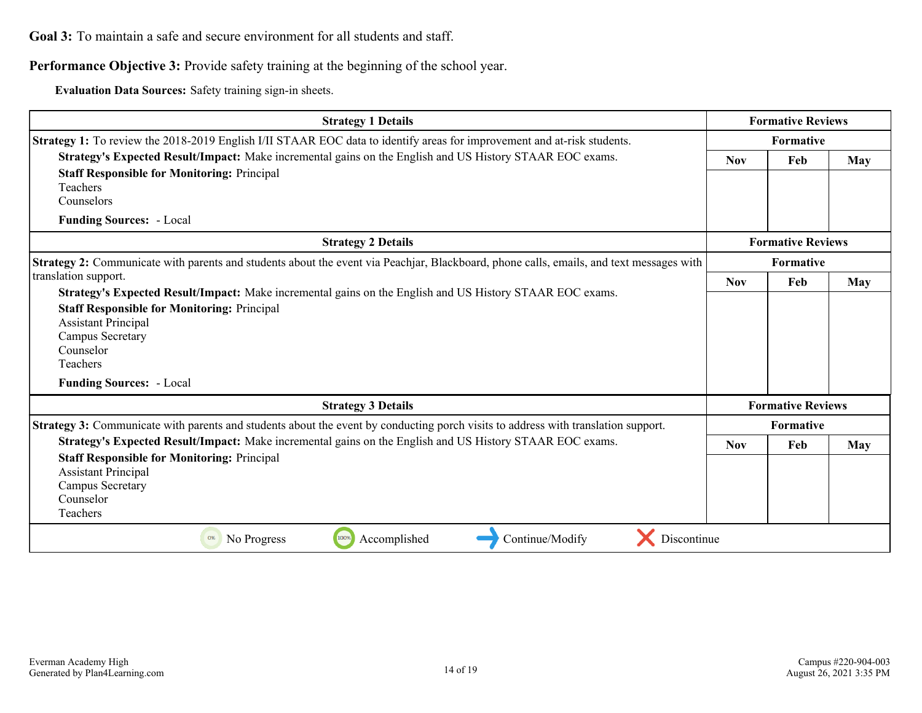**Performance Objective 3:** Provide safety training at the beginning of the school year.

**Evaluation Data Sources:** Safety training sign-in sheets.

| <b>Strategy 1 Details</b>                                                                                                                                                                                                                                                                                   |            | <b>Formative Reviews</b> |     |  |
|-------------------------------------------------------------------------------------------------------------------------------------------------------------------------------------------------------------------------------------------------------------------------------------------------------------|------------|--------------------------|-----|--|
| <b>Strategy 1:</b> To review the 2018-2019 English I/II STAAR EOC data to identify areas for improvement and at-risk students.                                                                                                                                                                              |            | Formative                |     |  |
| Strategy's Expected Result/Impact: Make incremental gains on the English and US History STAAR EOC exams.<br><b>Staff Responsible for Monitoring: Principal</b><br>Teachers<br>Counselors                                                                                                                    | <b>Nov</b> | Feb                      | May |  |
| <b>Funding Sources: - Local</b>                                                                                                                                                                                                                                                                             |            |                          |     |  |
| <b>Strategy 2 Details</b>                                                                                                                                                                                                                                                                                   |            | <b>Formative Reviews</b> |     |  |
| Strategy 2: Communicate with parents and students about the event via Peachjar, Blackboard, phone calls, emails, and text messages with                                                                                                                                                                     | Formative  |                          |     |  |
| translation support.<br>Strategy's Expected Result/Impact: Make incremental gains on the English and US History STAAR EOC exams.<br><b>Staff Responsible for Monitoring: Principal</b><br><b>Assistant Principal</b><br><b>Campus Secretary</b><br>Counselor<br>Teachers<br><b>Funding Sources: - Local</b> | <b>Nov</b> | Feb                      | May |  |
| <b>Strategy 3 Details</b>                                                                                                                                                                                                                                                                                   |            | <b>Formative Reviews</b> |     |  |
| Strategy 3: Communicate with parents and students about the event by conducting porch visits to address with translation support.                                                                                                                                                                           |            | Formative                |     |  |
| Strategy's Expected Result/Impact: Make incremental gains on the English and US History STAAR EOC exams.<br><b>Staff Responsible for Monitoring: Principal</b><br><b>Assistant Principal</b><br>Campus Secretary<br>Counselor<br>Teachers                                                                   | <b>Nov</b> | Feb                      | May |  |
| Discontinue<br>100%<br>Accomplished<br>Continue/Modify<br>No Progress<br>0%                                                                                                                                                                                                                                 |            |                          |     |  |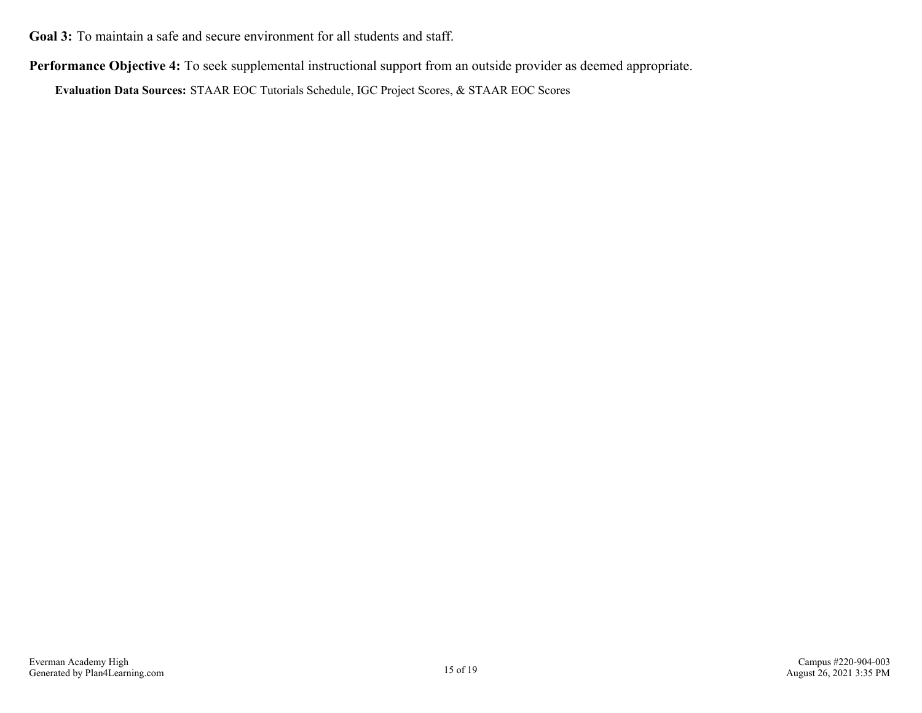**Performance Objective 4:** To seek supplemental instructional support from an outside provider as deemed appropriate.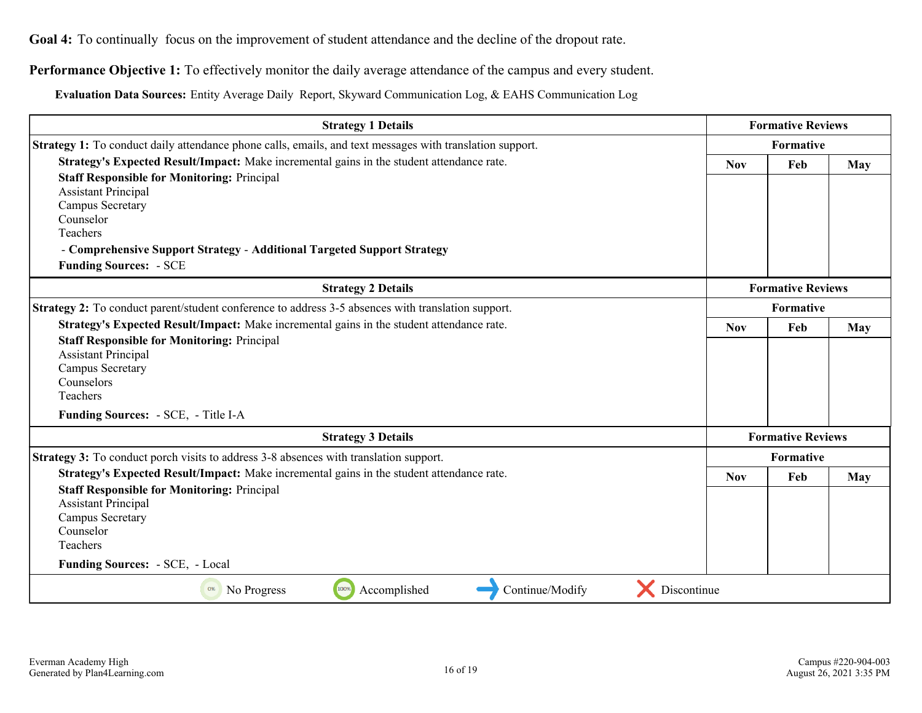<span id="page-15-0"></span>**Goal 4:** To continually focus on the improvement of student attendance and the decline of the dropout rate.

**Performance Objective 1:** To effectively monitor the daily average attendance of the campus and every student.

**Evaluation Data Sources:** Entity Average Daily Report, Skyward Communication Log, & EAHS Communication Log

| <b>Strategy 1 Details</b>                                                                                | <b>Formative Reviews</b> |                          |            |
|----------------------------------------------------------------------------------------------------------|--------------------------|--------------------------|------------|
| Strategy 1: To conduct daily attendance phone calls, emails, and text messages with translation support. | Formative                |                          |            |
| Strategy's Expected Result/Impact: Make incremental gains in the student attendance rate.                |                          | Feb                      | <b>May</b> |
| <b>Staff Responsible for Monitoring: Principal</b>                                                       |                          |                          |            |
| <b>Assistant Principal</b>                                                                               |                          |                          |            |
| Campus Secretary                                                                                         |                          |                          |            |
| Counselor                                                                                                |                          |                          |            |
| Teachers                                                                                                 |                          |                          |            |
| - Comprehensive Support Strategy - Additional Targeted Support Strategy                                  |                          |                          |            |
| <b>Funding Sources: - SCE</b>                                                                            |                          |                          |            |
| <b>Strategy 2 Details</b>                                                                                |                          | <b>Formative Reviews</b> |            |
| Strategy 2: To conduct parent/student conference to address 3-5 absences with translation support.       |                          | Formative                |            |
| Strategy's Expected Result/Impact: Make incremental gains in the student attendance rate.                | <b>Nov</b>               | Feb                      | May        |
| <b>Staff Responsible for Monitoring: Principal</b>                                                       |                          |                          |            |
| <b>Assistant Principal</b>                                                                               |                          |                          |            |
| Campus Secretary                                                                                         |                          |                          |            |
| Counselors                                                                                               |                          |                          |            |
| Teachers                                                                                                 |                          |                          |            |
| Funding Sources: - SCE, - Title I-A                                                                      |                          |                          |            |
| <b>Strategy 3 Details</b>                                                                                |                          | <b>Formative Reviews</b> |            |
| <b>Strategy 3:</b> To conduct porch visits to address 3-8 absences with translation support.             |                          | <b>Formative</b>         |            |
| Strategy's Expected Result/Impact: Make incremental gains in the student attendance rate.                | <b>Nov</b>               | Feb                      | <b>May</b> |
| <b>Staff Responsible for Monitoring: Principal</b>                                                       |                          |                          |            |
| <b>Assistant Principal</b>                                                                               |                          |                          |            |
| Campus Secretary                                                                                         |                          |                          |            |
| Counselor                                                                                                |                          |                          |            |
| Teachers                                                                                                 |                          |                          |            |
| Funding Sources: - SCE, - Local                                                                          |                          |                          |            |
| Discontinue<br>Accomplished<br>Continue/Modify<br>100%<br>0%<br>No Progress                              |                          |                          |            |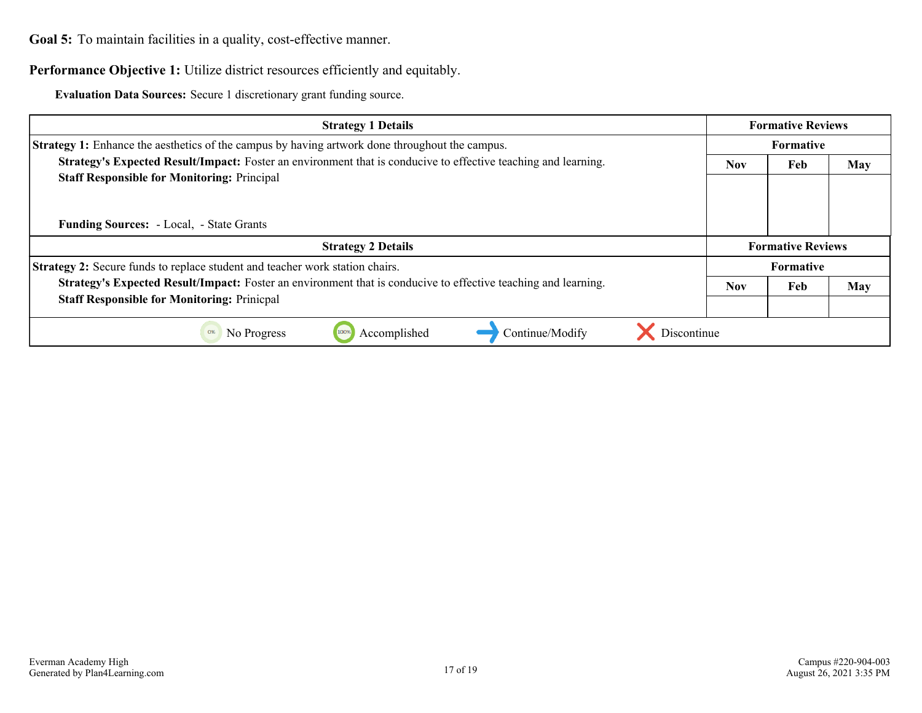<span id="page-16-0"></span>Goal 5: To maintain facilities in a quality, cost-effective manner.

#### **Performance Objective 1:** Utilize district resources efficiently and equitably.

**Evaluation Data Sources:** Secure 1 discretionary grant funding source.

| <b>Strategy 1 Details</b>                                                                                      |                          |     | <b>Formative Reviews</b> |  |  |
|----------------------------------------------------------------------------------------------------------------|--------------------------|-----|--------------------------|--|--|
| <b>Strategy 1:</b> Enhance the aesthetics of the campus by having artwork done throughout the campus.          |                          |     | <b>Formative</b>         |  |  |
| Strategy's Expected Result/Impact: Foster an environment that is conducive to effective teaching and learning. |                          |     | May                      |  |  |
| <b>Staff Responsible for Monitoring: Principal</b><br><b>Funding Sources:</b> - Local, - State Grants          |                          |     |                          |  |  |
| <b>Strategy 2 Details</b>                                                                                      | <b>Formative Reviews</b> |     |                          |  |  |
| Strategy 2: Secure funds to replace student and teacher work station chairs.                                   |                          |     | <b>Formative</b>         |  |  |
| Strategy's Expected Result/Impact: Foster an environment that is conducive to effective teaching and learning. | <b>Nov</b>               | Feb | May                      |  |  |
| <b>Staff Responsible for Monitoring: Prinicpal</b>                                                             |                          |     |                          |  |  |
| Discontinue<br>Accomplished<br>Continue/Modify<br>No Progress<br>100%<br>0%                                    |                          |     |                          |  |  |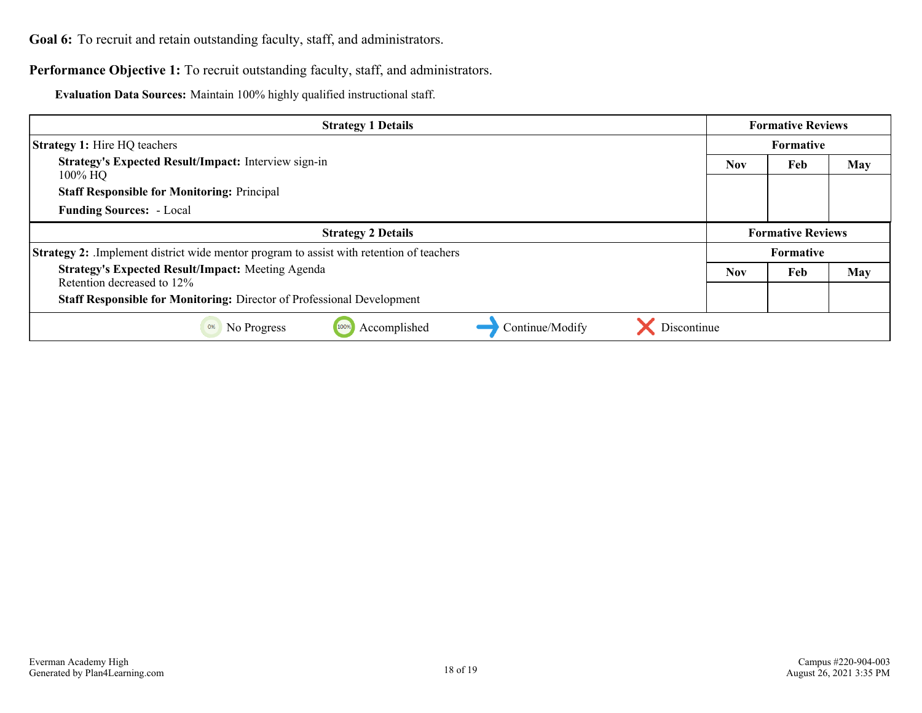<span id="page-17-0"></span>Goal 6: To recruit and retain outstanding faculty, staff, and administrators.

Performance Objective 1: To recruit outstanding faculty, staff, and administrators.

**Evaluation Data Sources:** Maintain 100% highly qualified instructional staff.

| <b>Strategy 1 Details</b>                                                                      | <b>Formative Reviews</b> |     |            |  |  |
|------------------------------------------------------------------------------------------------|--------------------------|-----|------------|--|--|
| <b>Strategy 1:</b> Hire HQ teachers                                                            | <b>Formative</b>         |     |            |  |  |
| <b>Strategy's Expected Result/Impact:</b> Interview sign-in<br>100% HQ                         | <b>Nov</b>               | Feb | <b>May</b> |  |  |
| <b>Staff Responsible for Monitoring: Principal</b>                                             |                          |     |            |  |  |
| <b>Funding Sources: - Local</b>                                                                |                          |     |            |  |  |
| <b>Strategy 2 Details</b>                                                                      | <b>Formative Reviews</b> |     |            |  |  |
| <b>Strategy 2:</b> Implement district wide mentor program to assist with retention of teachers |                          |     | Formative  |  |  |
| <b>Strategy's Expected Result/Impact: Meeting Agenda</b><br>Retention decreased to 12%         | <b>Nov</b>               | Feb | <b>May</b> |  |  |
| Staff Responsible for Monitoring: Director of Professional Development                         |                          |     |            |  |  |
| Discontinue<br>Accomplished<br>Continue/Modify<br>100%<br>0%<br>No Progress                    |                          |     |            |  |  |